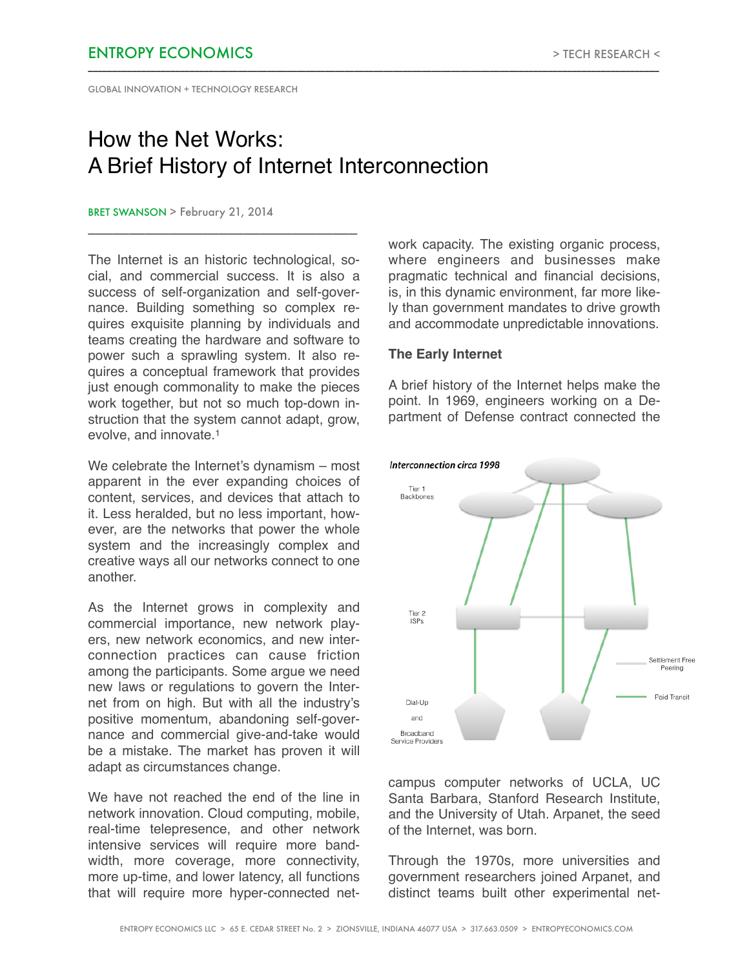GLOBAL INNOVATION + TECHNOLOGY RESEARCH

# How the Net Works: A Brief History of Internet Interconnection

\_\_\_\_\_\_\_\_\_\_\_\_\_\_\_\_\_\_\_\_\_\_\_\_\_\_\_\_\_\_\_\_\_\_\_\_\_\_\_\_\_\_\_\_\_\_\_\_\_\_\_\_\_\_\_\_\_\_\_\_\_\_\_\_\_\_\_\_\_\_\_\_\_\_\_\_\_\_\_\_\_\_\_\_\_\_\_\_\_\_\_\_\_\_\_\_\_\_\_\_\_\_\_\_\_\_\_\_\_\_\_\_\_\_\_\_\_\_

### BRET SWANSON > February 21, 2014

The Internet is an historic technological, social, and commercial success. It is also a success of self-organization and self-governance. Building something so complex requires exquisite planning by individuals and teams creating the hardware and software to power such a sprawling system. It also requires a conceptual framework that provides just enough commonality to make the pieces work together, but not so much top-down instruction that the system cannot adapt, grow. evolve, and innovate.1

\_\_\_\_\_\_\_\_\_\_\_\_\_\_\_\_\_\_\_\_\_\_\_\_\_\_\_\_\_\_\_\_\_

We celebrate the Internet's dynamism – most apparent in the ever expanding choices of content, services, and devices that attach to it. Less heralded, but no less important, however, are the networks that power the whole system and the increasingly complex and creative ways all our networks connect to one another.

As the Internet grows in complexity and commercial importance, new network players, new network economics, and new interconnection practices can cause friction among the participants. Some argue we need new laws or regulations to govern the Internet from on high. But with all the industry's positive momentum, abandoning self-governance and commercial give-and-take would be a mistake. The market has proven it will adapt as circumstances change.

We have not reached the end of the line in network innovation. Cloud computing, mobile, real-time telepresence, and other network intensive services will require more bandwidth, more coverage, more connectivity, more up-time, and lower latency, all functions that will require more hyper-connected network capacity. The existing organic process, where engineers and businesses make pragmatic technical and financial decisions, is, in this dynamic environment, far more likely than government mandates to drive growth and accommodate unpredictable innovations.

# **The Early Internet**

A brief history of the Internet helps make the point. In 1969, engineers working on a Department of Defense contract connected the



campus computer networks of UCLA, UC Santa Barbara, Stanford Research Institute, and the University of Utah. Arpanet, the seed of the Internet, was born.

Through the 1970s, more universities and government researchers joined Arpanet, and distinct teams built other experimental net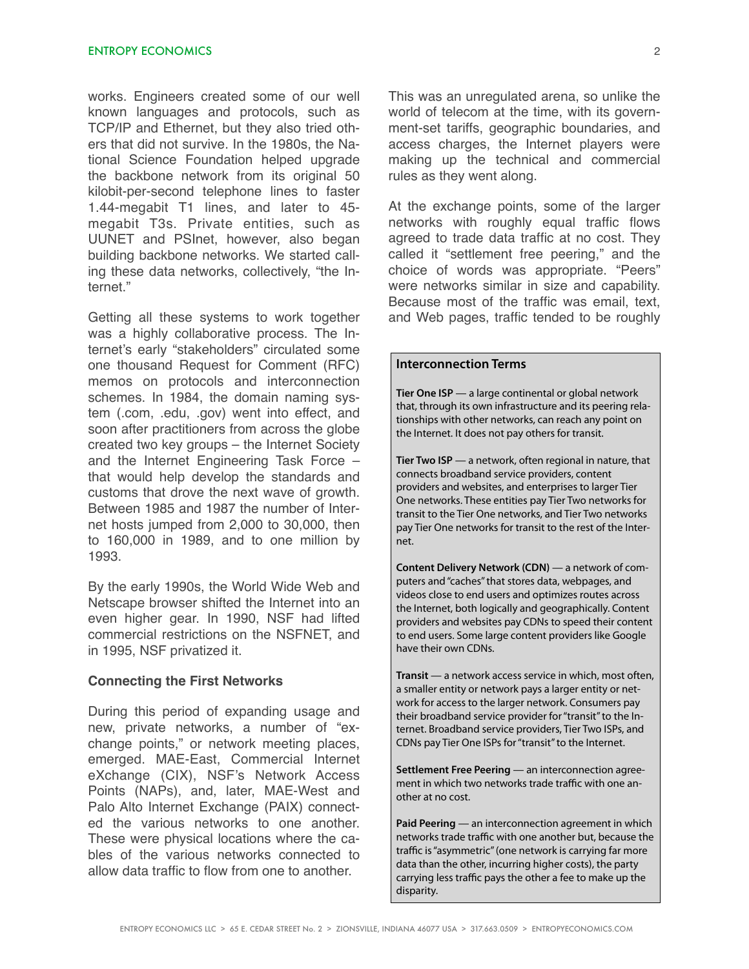works. Engineers created some of our well known languages and protocols, such as TCP/IP and Ethernet, but they also tried others that did not survive. In the 1980s, the National Science Foundation helped upgrade the backbone network from its original 50 kilobit-per-second telephone lines to faster 1.44-megabit T1 lines, and later to 45 megabit T3s. Private entities, such as UUNET and PSInet, however, also began building backbone networks. We started calling these data networks, collectively, "the Internet."

Getting all these systems to work together was a highly collaborative process. The Internet's early "stakeholders" circulated some one thousand Request for Comment (RFC) memos on protocols and interconnection schemes. In 1984, the domain naming system (.com, .edu, .gov) went into effect, and soon after practitioners from across the globe created two key groups – the Internet Society and the Internet Engineering Task Force – that would help develop the standards and customs that drove the next wave of growth. Between 1985 and 1987 the number of Internet hosts jumped from 2,000 to 30,000, then to 160,000 in 1989, and to one million by 1993.

By the early 1990s, the World Wide Web and Netscape browser shifted the Internet into an even higher gear. In 1990, NSF had lifted commercial restrictions on the NSFNET, and in 1995, NSF privatized it.

### **Connecting the First Networks**

During this period of expanding usage and new, private networks, a number of "exchange points," or network meeting places, emerged. MAE-East, Commercial Internet eXchange (CIX), NSF's Network Access Points (NAPs), and, later, MAE-West and Palo Alto Internet Exchange (PAIX) connected the various networks to one another. These were physical locations where the cables of the various networks connected to allow data traffic to flow from one to another.

This was an unregulated arena, so unlike the world of telecom at the time, with its government-set tariffs, geographic boundaries, and access charges, the Internet players were making up the technical and commercial rules as they went along.

At the exchange points, some of the larger networks with roughly equal traffic flows agreed to trade data traffic at no cost. They called it "settlement free peering," and the choice of words was appropriate. "Peers" were networks similar in size and capability. Because most of the traffic was email, text, and Web pages, traffic tended to be roughly

### **Interconnection Terms**

**Tier One ISP** — a large continental or global network that, through its own infrastructure and its peering relationships with other networks, can reach any point on the Internet. It does not pay others for transit.

**Tier Two ISP** — a network, often regional in nature, that connects broadband service providers, content providers and websites, and enterprises to larger Tier One networks. These entities pay Tier Two networks for transit to the Tier One networks, and Tier Two networks pay Tier One networks for transit to the rest of the Internet.

**Content Delivery Network (CDN)** — a network of computers and "caches" that stores data, webpages, and videos close to end users and optimizes routes across the Internet, both logically and geographically. Content providers and websites pay CDNs to speed their content to end users. Some large content providers like Google have their own CDNs.

**Transit** — a network access service in which, most often, a smaller entity or network pays a larger entity or network for access to the larger network. Consumers pay their broadband service provider for "transit" to the Internet. Broadband service providers, Tier Two ISPs, and CDNs pay Tier One ISPs for "transit" to the Internet.

**Settlement Free Peering** — an interconnection agreement in which two networks trade traffic with one another at no cost.

**Paid Peering** — an interconnection agreement in which networks trade traffic with one another but, because the traffic is "asymmetric" (one network is carrying far more data than the other, incurring higher costs), the party carrying less traffic pays the other a fee to make up the disparity.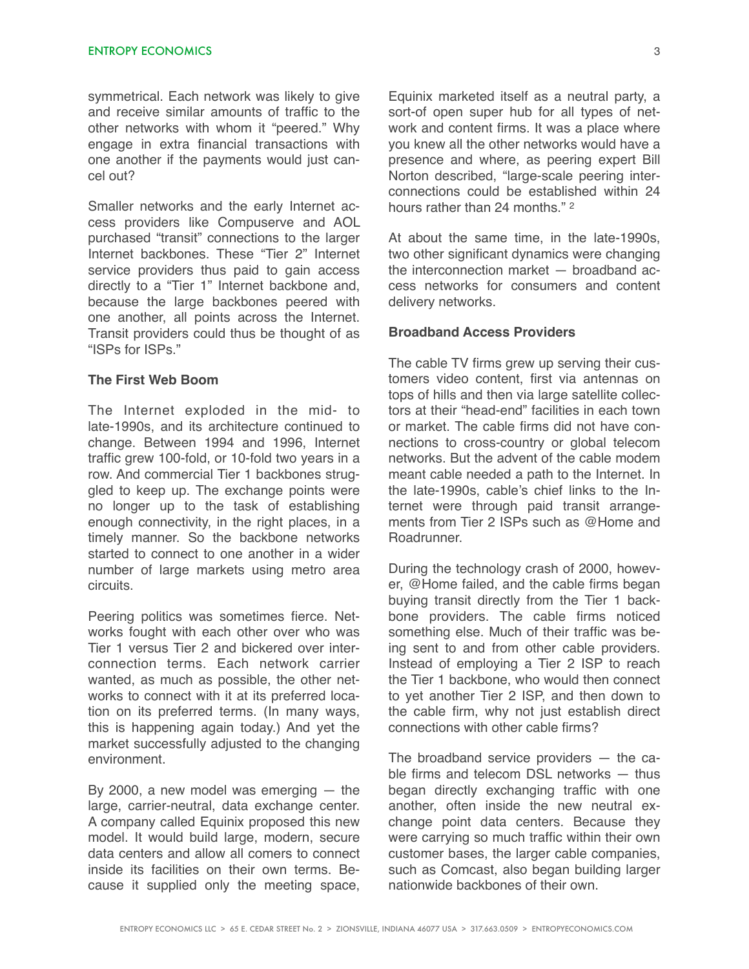symmetrical. Each network was likely to give and receive similar amounts of traffic to the other networks with whom it "peered." Why engage in extra financial transactions with one another if the payments would just cancel out?

Smaller networks and the early Internet access providers like Compuserve and AOL purchased "transit" connections to the larger Internet backbones. These "Tier 2" Internet service providers thus paid to gain access directly to a "Tier 1" Internet backbone and, because the large backbones peered with one another, all points across the Internet. Transit providers could thus be thought of as "ISPs for ISPs."

## **The First Web Boom**

The Internet exploded in the mid- to late-1990s, and its architecture continued to change. Between 1994 and 1996, Internet traffic grew 100-fold, or 10-fold two years in a row. And commercial Tier 1 backbones struggled to keep up. The exchange points were no longer up to the task of establishing enough connectivity, in the right places, in a timely manner. So the backbone networks started to connect to one another in a wider number of large markets using metro area circuits.

Peering politics was sometimes fierce. Networks fought with each other over who was Tier 1 versus Tier 2 and bickered over interconnection terms. Each network carrier wanted, as much as possible, the other networks to connect with it at its preferred location on its preferred terms. (In many ways, this is happening again today.) And yet the market successfully adjusted to the changing environment.

By 2000, a new model was emerging  $-$  the large, carrier-neutral, data exchange center. A company called Equinix proposed this new model. It would build large, modern, secure data centers and allow all comers to connect inside its facilities on their own terms. Because it supplied only the meeting space, Equinix marketed itself as a neutral party, a sort-of open super hub for all types of network and content firms. It was a place where you knew all the other networks would have a presence and where, as peering expert Bill Norton described, "large-scale peering interconnections could be established within 24 hours rather than 24 months " 2

At about the same time, in the late-1990s, two other significant dynamics were changing the interconnection market — broadband access networks for consumers and content delivery networks.

## **Broadband Access Providers**

The cable TV firms grew up serving their customers video content, first via antennas on tops of hills and then via large satellite collectors at their "head-end" facilities in each town or market. The cable firms did not have connections to cross-country or global telecom networks. But the advent of the cable modem meant cable needed a path to the Internet. In the late-1990s, cable's chief links to the Internet were through paid transit arrangements from Tier 2 ISPs such as @Home and Roadrunner.

During the technology crash of 2000, however, @Home failed, and the cable firms began buying transit directly from the Tier 1 backbone providers. The cable firms noticed something else. Much of their traffic was being sent to and from other cable providers. Instead of employing a Tier 2 ISP to reach the Tier 1 backbone, who would then connect to yet another Tier 2 ISP, and then down to the cable firm, why not just establish direct connections with other cable firms?

The broadband service providers — the cable firms and telecom DSL networks — thus began directly exchanging traffic with one another, often inside the new neutral exchange point data centers. Because they were carrying so much traffic within their own customer bases, the larger cable companies, such as Comcast, also began building larger nationwide backbones of their own.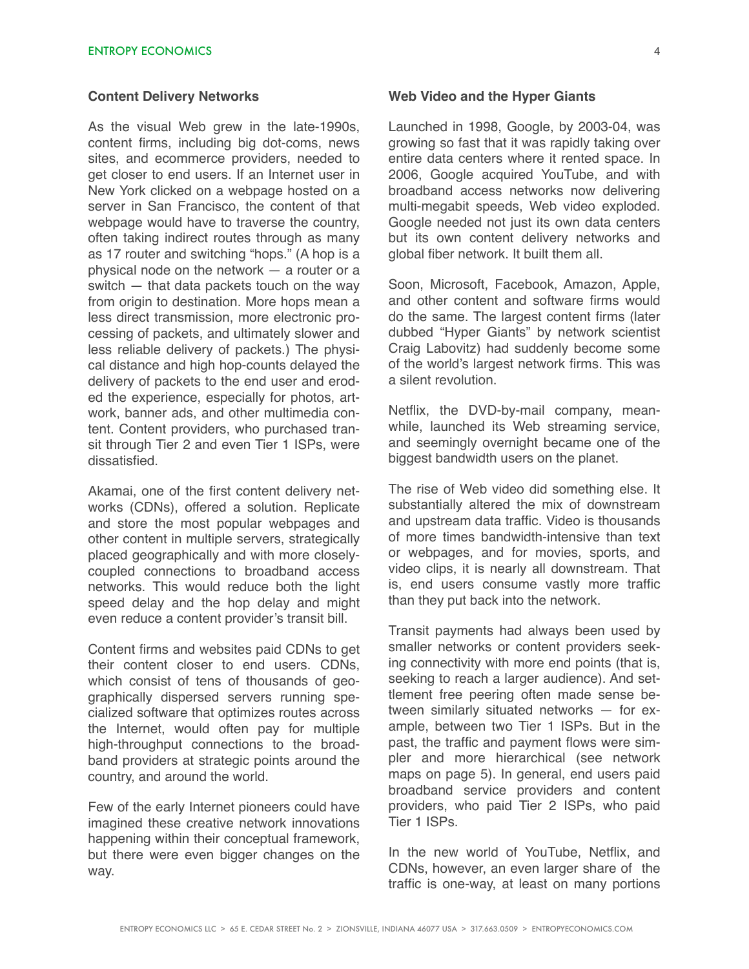## **Content Delivery Networks**

As the visual Web grew in the late-1990s, content firms, including big dot-coms, news sites, and ecommerce providers, needed to get closer to end users. If an Internet user in New York clicked on a webpage hosted on a server in San Francisco, the content of that webpage would have to traverse the country, often taking indirect routes through as many as 17 router and switching "hops." (A hop is a physical node on the network — a router or a switch — that data packets touch on the way from origin to destination. More hops mean a less direct transmission, more electronic processing of packets, and ultimately slower and less reliable delivery of packets.) The physical distance and high hop-counts delayed the delivery of packets to the end user and eroded the experience, especially for photos, artwork, banner ads, and other multimedia content. Content providers, who purchased transit through Tier 2 and even Tier 1 ISPs, were dissatisfied.

Akamai, one of the first content delivery networks (CDNs), offered a solution. Replicate and store the most popular webpages and other content in multiple servers, strategically placed geographically and with more closelycoupled connections to broadband access networks. This would reduce both the light speed delay and the hop delay and might even reduce a content provider's transit bill.

Content firms and websites paid CDNs to get their content closer to end users. CDNs, which consist of tens of thousands of geographically dispersed servers running specialized software that optimizes routes across the Internet, would often pay for multiple high-throughput connections to the broadband providers at strategic points around the country, and around the world.

Few of the early Internet pioneers could have imagined these creative network innovations happening within their conceptual framework, but there were even bigger changes on the way.

### **Web Video and the Hyper Giants**

Launched in 1998, Google, by 2003-04, was growing so fast that it was rapidly taking over entire data centers where it rented space. In 2006, Google acquired YouTube, and with broadband access networks now delivering multi-megabit speeds, Web video exploded. Google needed not just its own data centers but its own content delivery networks and global fiber network. It built them all.

Soon, Microsoft, Facebook, Amazon, Apple, and other content and software firms would do the same. The largest content firms (later dubbed "Hyper Giants" by network scientist Craig Labovitz) had suddenly become some of the world's largest network firms. This was a silent revolution.

Netflix, the DVD-by-mail company, meanwhile, launched its Web streaming service, and seemingly overnight became one of the biggest bandwidth users on the planet.

The rise of Web video did something else. It substantially altered the mix of downstream and upstream data traffic. Video is thousands of more times bandwidth-intensive than text or webpages, and for movies, sports, and video clips, it is nearly all downstream. That is, end users consume vastly more traffic than they put back into the network.

Transit payments had always been used by smaller networks or content providers seeking connectivity with more end points (that is, seeking to reach a larger audience). And settlement free peering often made sense between similarly situated networks — for example, between two Tier 1 ISPs. But in the past, the traffic and payment flows were simpler and more hierarchical (see network maps on page 5). In general, end users paid broadband service providers and content providers, who paid Tier 2 ISPs, who paid Tier 1 ISPs.

In the new world of YouTube, Netflix, and CDNs, however, an even larger share of the traffic is one-way, at least on many portions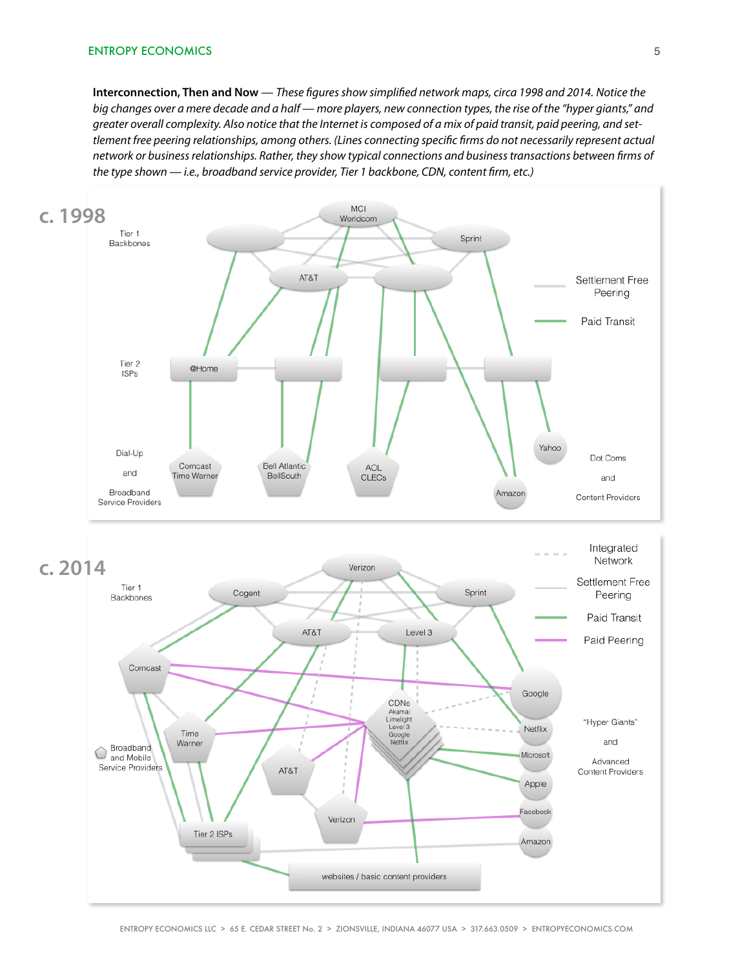**Interconnection, Then and Now** — *These* f*gures show simpli*f*ed network maps, circa 1998 and 2014. Notice the big changes over a mere decade and a half — more players, new connection types, the rise of the "hyper giants," and greater overall complexity. Also notice that the Internet is composed of a mix of paid transit, paid peering, and settlement free peering relationships, among others. (Lines connecting speci*f*c* f*rms do not necessarily represent actual network or business relationships. Rather, they show typical connections and business transactions between* f*rms of*  the type shown - *i.e., broadband service provider, Tier 1 backbone, CDN, content firm, etc.*)

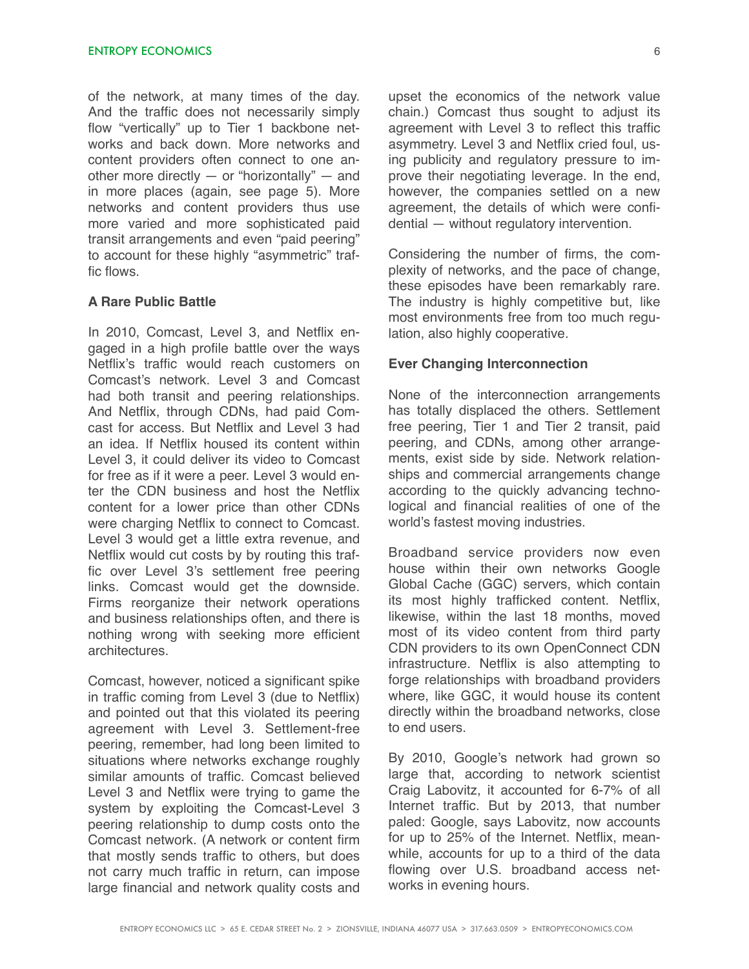of the network, at many times of the day. And the traffic does not necessarily simply flow "vertically" up to Tier 1 backbone networks and back down. More networks and content providers often connect to one another more directly  $-$  or "horizontally"  $-$  and in more places (again, see page 5). More networks and content providers thus use more varied and more sophisticated paid transit arrangements and even "paid peering" to account for these highly "asymmetric" traffic flows.

# **A Rare Public Battle**

In 2010, Comcast, Level 3, and Netflix engaged in a high profile battle over the ways Netflix's traffic would reach customers on Comcast's network. Level 3 and Comcast had both transit and peering relationships. And Netflix, through CDNs, had paid Comcast for access. But Netflix and Level 3 had an idea. If Netflix housed its content within Level 3, it could deliver its video to Comcast for free as if it were a peer. Level 3 would enter the CDN business and host the Netflix content for a lower price than other CDNs were charging Netflix to connect to Comcast. Level 3 would get a little extra revenue, and Netflix would cut costs by by routing this traffic over Level 3's settlement free peering links. Comcast would get the downside. Firms reorganize their network operations and business relationships often, and there is nothing wrong with seeking more efficient architectures.

Comcast, however, noticed a significant spike in traffic coming from Level 3 (due to Netflix) and pointed out that this violated its peering agreement with Level 3. Settlement-free peering, remember, had long been limited to situations where networks exchange roughly similar amounts of traffic. Comcast believed Level 3 and Netflix were trying to game the system by exploiting the Comcast-Level 3 peering relationship to dump costs onto the Comcast network. (A network or content firm that mostly sends traffic to others, but does not carry much traffic in return, can impose large financial and network quality costs and

upset the economics of the network value chain.) Comcast thus sought to adjust its agreement with Level 3 to reflect this traffic asymmetry. Level 3 and Netflix cried foul, using publicity and regulatory pressure to improve their negotiating leverage. In the end, however, the companies settled on a new agreement, the details of which were confidential — without regulatory intervention.

Considering the number of firms, the complexity of networks, and the pace of change, these episodes have been remarkably rare. The industry is highly competitive but, like most environments free from too much regulation, also highly cooperative.

### **Ever Changing Interconnection**

None of the interconnection arrangements has totally displaced the others. Settlement free peering, Tier 1 and Tier 2 transit, paid peering, and CDNs, among other arrangements, exist side by side. Network relationships and commercial arrangements change according to the quickly advancing technological and financial realities of one of the world's fastest moving industries.

Broadband service providers now even house within their own networks Google Global Cache (GGC) servers, which contain its most highly trafficked content. Netflix, likewise, within the last 18 months, moved most of its video content from third party CDN providers to its own OpenConnect CDN infrastructure. Netflix is also attempting to forge relationships with broadband providers where, like GGC, it would house its content directly within the broadband networks, close to end users.

By 2010, Google's network had grown so large that, according to network scientist Craig Labovitz, it accounted for 6-7% of all Internet traffic. But by 2013, that number paled: Google, says Labovitz, now accounts for up to 25% of the Internet. Netflix, meanwhile, accounts for up to a third of the data flowing over U.S. broadband access networks in evening hours.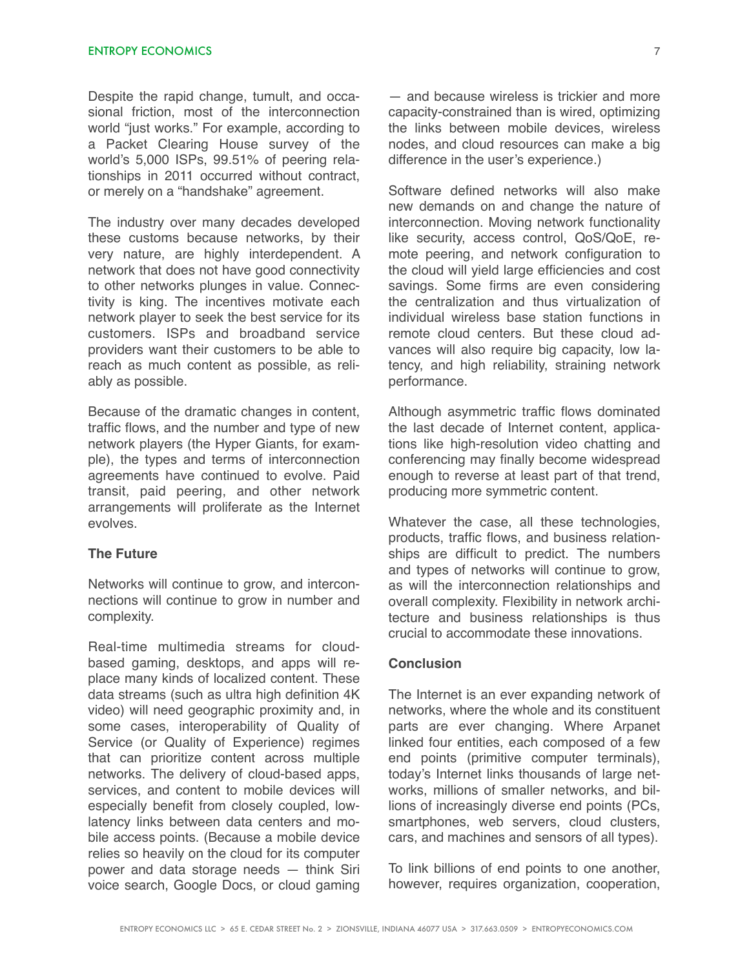Despite the rapid change, tumult, and occasional friction, most of the interconnection world "just works." For example, according to a Packet Clearing House survey of the world's 5,000 ISPs, 99.51% of peering relationships in 2011 occurred without contract, or merely on a "handshake" agreement.

The industry over many decades developed these customs because networks, by their very nature, are highly interdependent. A network that does not have good connectivity to other networks plunges in value. Connectivity is king. The incentives motivate each network player to seek the best service for its customers. ISPs and broadband service providers want their customers to be able to reach as much content as possible, as reliably as possible.

Because of the dramatic changes in content, traffic flows, and the number and type of new network players (the Hyper Giants, for example), the types and terms of interconnection agreements have continued to evolve. Paid transit, paid peering, and other network arrangements will proliferate as the Internet evolves.

## **The Future**

Networks will continue to grow, and interconnections will continue to grow in number and complexity.

Real-time multimedia streams for cloudbased gaming, desktops, and apps will replace many kinds of localized content. These data streams (such as ultra high definition 4K video) will need geographic proximity and, in some cases, interoperability of Quality of Service (or Quality of Experience) regimes that can prioritize content across multiple networks. The delivery of cloud-based apps, services, and content to mobile devices will especially benefit from closely coupled, lowlatency links between data centers and mobile access points. (Because a mobile device relies so heavily on the cloud for its computer power and data storage needs — think Siri voice search, Google Docs, or cloud gaming

— and because wireless is trickier and more capacity-constrained than is wired, optimizing the links between mobile devices, wireless nodes, and cloud resources can make a big difference in the user's experience.)

Software defined networks will also make new demands on and change the nature of interconnection. Moving network functionality like security, access control, QoS/QoE, remote peering, and network configuration to the cloud will yield large efficiencies and cost savings. Some firms are even considering the centralization and thus virtualization of individual wireless base station functions in remote cloud centers. But these cloud advances will also require big capacity, low latency, and high reliability, straining network performance.

Although asymmetric traffic flows dominated the last decade of Internet content, applications like high-resolution video chatting and conferencing may finally become widespread enough to reverse at least part of that trend, producing more symmetric content.

Whatever the case, all these technologies, products, traffic flows, and business relationships are difficult to predict. The numbers and types of networks will continue to grow, as will the interconnection relationships and overall complexity. Flexibility in network architecture and business relationships is thus crucial to accommodate these innovations.

## **Conclusion**

The Internet is an ever expanding network of networks, where the whole and its constituent parts are ever changing. Where Arpanet linked four entities, each composed of a few end points (primitive computer terminals), today's Internet links thousands of large networks, millions of smaller networks, and billions of increasingly diverse end points (PCs, smartphones, web servers, cloud clusters, cars, and machines and sensors of all types).

To link billions of end points to one another, however, requires organization, cooperation,